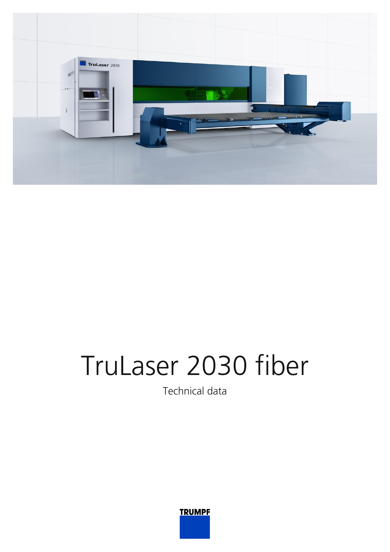

## TruLaser 2030 fiber

Technical data